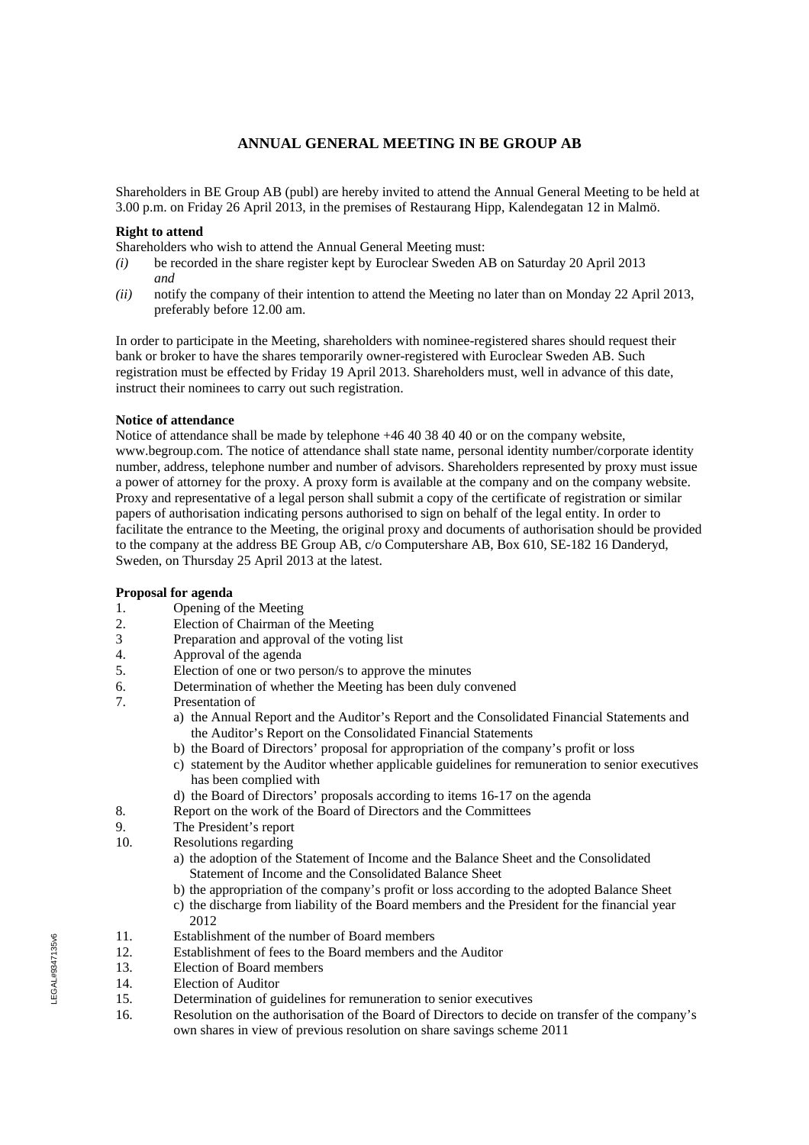# **ANNUAL GENERAL MEETING IN BE GROUP AB**

Shareholders in BE Group AB (publ) are hereby invited to attend the Annual General Meeting to be held at 3.00 p.m. on Friday 26 April 2013, in the premises of Restaurang Hipp, Kalendegatan 12 in Malmö.

## **Right to attend**

Shareholders who wish to attend the Annual General Meeting must:

- *(i)* be recorded in the share register kept by Euroclear Sweden AB on Saturday 20 April 2013 *and*
- *(ii)* notify the company of their intention to attend the Meeting no later than on Monday 22 April 2013, preferably before 12.00 am.

In order to participate in the Meeting, shareholders with nominee-registered shares should request their bank or broker to have the shares temporarily owner-registered with Euroclear Sweden AB. Such registration must be effected by Friday 19 April 2013. Shareholders must, well in advance of this date, instruct their nominees to carry out such registration.

## **Notice of attendance**

Notice of attendance shall be made by telephone +46 40 38 40 40 or on the company website, www.begroup.com. The notice of attendance shall state name, personal identity number/corporate identity number, address, telephone number and number of advisors. Shareholders represented by proxy must issue a power of attorney for the proxy. A proxy form is available at the company and on the company website. Proxy and representative of a legal person shall submit a copy of the certificate of registration or similar papers of authorisation indicating persons authorised to sign on behalf of the legal entity. In order to facilitate the entrance to the Meeting, the original proxy and documents of authorisation should be provided to the company at the address BE Group AB, c/o Computershare AB, Box 610, SE-182 16 Danderyd, Sweden, on Thursday 25 April 2013 at the latest.

## **Proposal for agenda**

- 1. Opening of the Meeting
- 2. Election of Chairman of the Meeting
- 3 Preparation and approval of the voting list
- 4. Approval of the agenda
- 5. Election of one or two person/s to approve the minutes
- 6. Determination of whether the Meeting has been duly convened
- 7. Presentation of
	- a) the Annual Report and the Auditor's Report and the Consolidated Financial Statements and the Auditor's Report on the Consolidated Financial Statements
	- b) the Board of Directors' proposal for appropriation of the company's profit or loss
	- c) statement by the Auditor whether applicable guidelines for remuneration to senior executives has been complied with
	- d) the Board of Directors' proposals according to items 16-17 on the agenda
- 8. Report on the work of the Board of Directors and the Committees
- 9. The President's report
- 10. Resolutions regarding
	- a) the adoption of the Statement of Income and the Balance Sheet and the Consolidated Statement of Income and the Consolidated Balance Sheet
	- b) the appropriation of the company's profit or loss according to the adopted Balance Sheet
	- c) the discharge from liability of the Board members and the President for the financial year 2012
- 11. Establishment of the number of Board members
- 12. Establishment of fees to the Board members and the Auditor
- 13. Election of Board members
- 14. Election of Auditor
- 15. Determination of guidelines for remuneration to senior executives
- 16. Resolution on the authorisation of the Board of Directors to decide on transfer of the company's own shares in view of previous resolution on share savings scheme 2011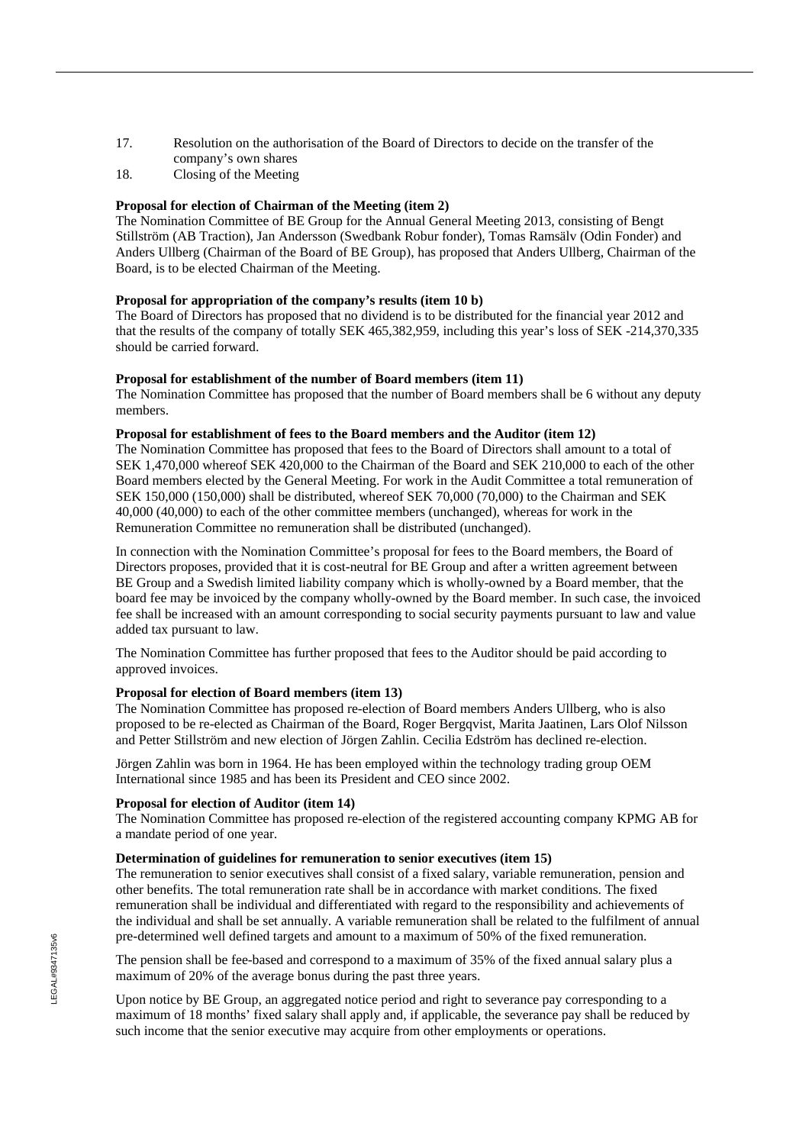- 17. Resolution on the authorisation of the Board of Directors to decide on the transfer of the company's own shares
- 18. Closing of the Meeting

## **Proposal for election of Chairman of the Meeting (item 2)**

The Nomination Committee of BE Group for the Annual General Meeting 2013, consisting of Bengt Stillström (AB Traction), Jan Andersson (Swedbank Robur fonder), Tomas Ramsälv (Odin Fonder) and Anders Ullberg (Chairman of the Board of BE Group), has proposed that Anders Ullberg, Chairman of the Board, is to be elected Chairman of the Meeting.

## **Proposal for appropriation of the company's results (item 10 b)**

The Board of Directors has proposed that no dividend is to be distributed for the financial year 2012 and that the results of the company of totally SEK 465,382,959, including this year's loss of SEK -214,370,335 should be carried forward.

## **Proposal for establishment of the number of Board members (item 11)**

The Nomination Committee has proposed that the number of Board members shall be 6 without any deputy members.

## **Proposal for establishment of fees to the Board members and the Auditor (item 12)**

The Nomination Committee has proposed that fees to the Board of Directors shall amount to a total of SEK 1,470,000 whereof SEK 420,000 to the Chairman of the Board and SEK 210,000 to each of the other Board members elected by the General Meeting. For work in the Audit Committee a total remuneration of SEK 150,000 (150,000) shall be distributed, whereof SEK 70,000 (70,000) to the Chairman and SEK 40,000 (40,000) to each of the other committee members (unchanged), whereas for work in the Remuneration Committee no remuneration shall be distributed (unchanged).

In connection with the Nomination Committee's proposal for fees to the Board members, the Board of Directors proposes, provided that it is cost-neutral for BE Group and after a written agreement between BE Group and a Swedish limited liability company which is wholly-owned by a Board member, that the board fee may be invoiced by the company wholly-owned by the Board member. In such case, the invoiced fee shall be increased with an amount corresponding to social security payments pursuant to law and value added tax pursuant to law.

The Nomination Committee has further proposed that fees to the Auditor should be paid according to approved invoices.

## **Proposal for election of Board members (item 13)**

The Nomination Committee has proposed re-election of Board members Anders Ullberg, who is also proposed to be re-elected as Chairman of the Board, Roger Bergqvist, Marita Jaatinen, Lars Olof Nilsson and Petter Stillström and new election of Jörgen Zahlin. Cecilia Edström has declined re-election.

Jörgen Zahlin was born in 1964. He has been employed within the technology trading group OEM International since 1985 and has been its President and CEO since 2002.

## **Proposal for election of Auditor (item 14)**

The Nomination Committee has proposed re-election of the registered accounting company KPMG AB for a mandate period of one year.

## **Determination of guidelines for remuneration to senior executives (item 15)**

The remuneration to senior executives shall consist of a fixed salary, variable remuneration, pension and other benefits. The total remuneration rate shall be in accordance with market conditions. The fixed remuneration shall be individual and differentiated with regard to the responsibility and achievements of the individual and shall be set annually. A variable remuneration shall be related to the fulfilment of annual pre-determined well defined targets and amount to a maximum of 50% of the fixed remuneration.

The pension shall be fee-based and correspond to a maximum of 35% of the fixed annual salary plus a maximum of 20% of the average bonus during the past three years.

Upon notice by BE Group, an aggregated notice period and right to severance pay corresponding to a maximum of 18 months' fixed salary shall apply and, if applicable, the severance pay shall be reduced by such income that the senior executive may acquire from other employments or operations.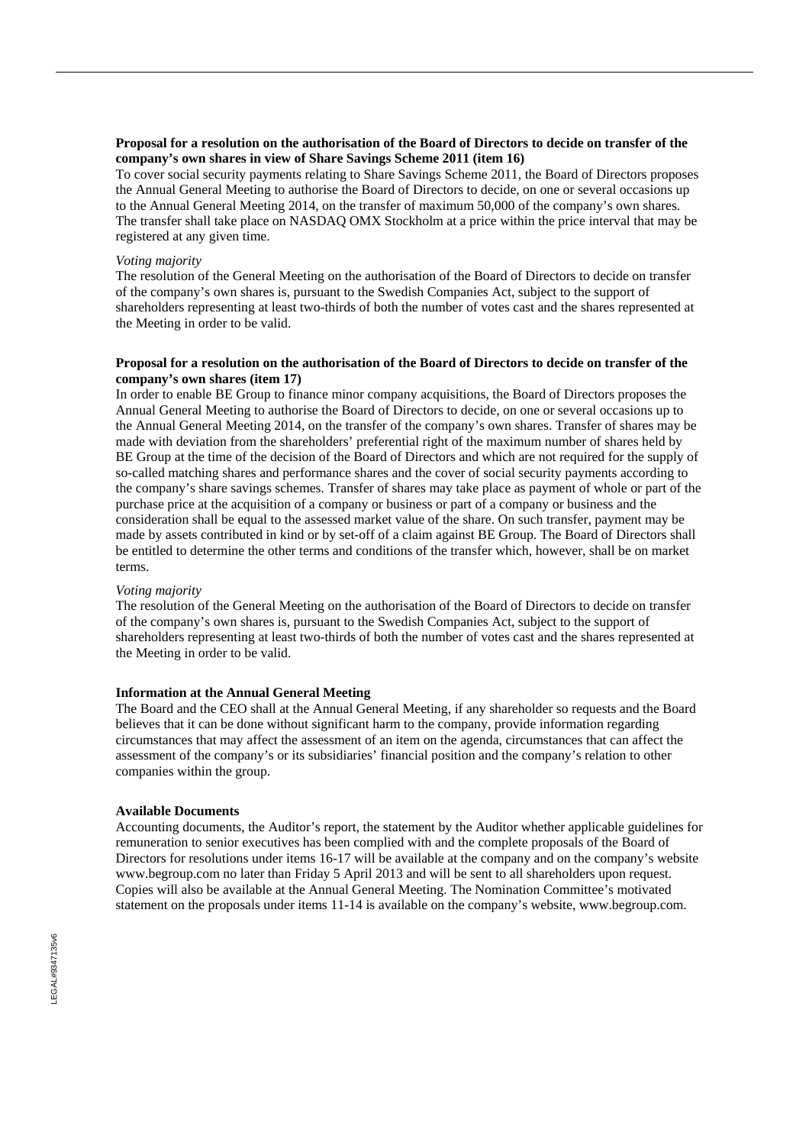## **Proposal for a resolution on the authorisation of the Board of Directors to decide on transfer of the company's own shares in view of Share Savings Scheme 2011 (item 16)**

To cover social security payments relating to Share Savings Scheme 2011, the Board of Directors proposes the Annual General Meeting to authorise the Board of Directors to decide, on one or several occasions up to the Annual General Meeting 2014, on the transfer of maximum 50,000 of the company's own shares. The transfer shall take place on NASDAQ OMX Stockholm at a price within the price interval that may be registered at any given time.

### *Voting majority*

The resolution of the General Meeting on the authorisation of the Board of Directors to decide on transfer of the company's own shares is, pursuant to the Swedish Companies Act, subject to the support of shareholders representing at least two-thirds of both the number of votes cast and the shares represented at the Meeting in order to be valid.

## **Proposal for a resolution on the authorisation of the Board of Directors to decide on transfer of the company's own shares (item 17)**

In order to enable BE Group to finance minor company acquisitions, the Board of Directors proposes the Annual General Meeting to authorise the Board of Directors to decide, on one or several occasions up to the Annual General Meeting 2014, on the transfer of the company's own shares. Transfer of shares may be made with deviation from the shareholders' preferential right of the maximum number of shares held by BE Group at the time of the decision of the Board of Directors and which are not required for the supply of so-called matching shares and performance shares and the cover of social security payments according to the company's share savings schemes. Transfer of shares may take place as payment of whole or part of the purchase price at the acquisition of a company or business or part of a company or business and the consideration shall be equal to the assessed market value of the share. On such transfer, payment may be made by assets contributed in kind or by set-off of a claim against BE Group. The Board of Directors shall be entitled to determine the other terms and conditions of the transfer which, however, shall be on market terms.

#### *Voting majority*

The resolution of the General Meeting on the authorisation of the Board of Directors to decide on transfer of the company's own shares is, pursuant to the Swedish Companies Act, subject to the support of shareholders representing at least two-thirds of both the number of votes cast and the shares represented at the Meeting in order to be valid.

## **Information at the Annual General Meeting**

The Board and the CEO shall at the Annual General Meeting, if any shareholder so requests and the Board believes that it can be done without significant harm to the company, provide information regarding circumstances that may affect the assessment of an item on the agenda, circumstances that can affect the assessment of the company's or its subsidiaries' financial position and the company's relation to other companies within the group.

## **Available Documents**

Accounting documents, the Auditor's report, the statement by the Auditor whether applicable guidelines for remuneration to senior executives has been complied with and the complete proposals of the Board of Directors for resolutions under items 16-17 will be available at the company and on the company's website www.begroup.com no later than Friday 5 April 2013 and will be sent to all shareholders upon request. Copies will also be available at the Annual General Meeting. The Nomination Committee's motivated statement on the proposals under items 11-14 is available on the company's website, www.begroup.com.